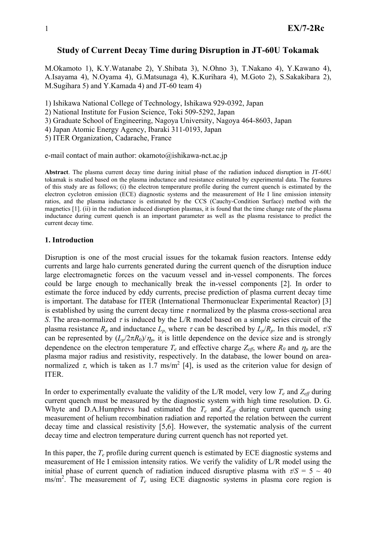# **Study of Current Decay Time during Disruption in JT-60U Tokamak**

M.Okamoto 1), K.Y.Watanabe 2), Y.Shibata 3), N.Ohno 3), T.Nakano 4), Y.Kawano 4), A.Isayama 4), N.Oyama 4), G.Matsunaga 4), K.Kurihara 4), M.Goto 2), S.Sakakibara 2), M.Sugihara 5) and Y.Kamada 4) and JT-60 team 4)

1) Ishikawa National College of Technology, Ishikawa 929-0392, Japan

2) National Institute for Fusion Science, Toki 509-5292, Japan

3) Graduate School of Engineering, Nagoya University, Nagoya 464-8603, Japan

4) Japan Atomic Energy Agency, Ibaraki 311-0193, Japan

5) ITER Organization, Cadarache, France

e-mail contact of main author: okamoto@ishikawa-nct.ac.jp

**Abstract**. The plasma current decay time during initial phase of the radiation induced disruption in JT-60U tokamak is studied based on the plasma inductance and resistance estimated by experimental data. The features of this study are as follows; (i) the electron temperature profile during the current quench is estimated by the electron cyclotron emission (ECE) diagnostic systems and the measurement of He I line emission intensity ratios, and the plasma inductance is estimated by the CCS (Cauchy-Condition Surface) method with the magnetics [1]. (ii) in the radiation induced disruption plasmas, it is found that the time change rate of the plasma inductance during current quench is an important parameter as well as the plasma resistance to predict the current decay time.

### **1. Introduction**

Disruption is one of the most crucial issues for the tokamak fusion reactors. Intense eddy currents and large halo currents generated during the current quench of the disruption induce large electromagnetic forces on the vacuum vessel and in-vessel components. The forces could be large enough to mechanically break the in-vessel components [2]. In order to estimate the force induced by eddy currents, precise prediction of plasma current decay time is important. The database for ITER (International Thermonuclear Experimental Reactor) [3] is established by using the current decay time  $\tau$  normalized by the plasma cross-sectional area *S*. The area-normalized  $\tau$  is induced by the L/R model based on a simple series circuit of the plasma resistance  $R_p$  and inductance  $L_p$ , where  $\tau$  can be described by  $L_p/R_p$ . In this model,  $\tau/S$ can be represented by  $(L_p/2\pi R_0)/\eta_p$ , it is little dependence on the device size and is strongly dependence on the electron temperature  $T_e$  and effective charge  $Z_{\text{eff}}$ , where  $R_0$  and  $\eta_p$  are the plasma major radius and resistivity, respectively. In the database, the lower bound on areanormalized  $\tau$ , which is taken as 1.7 ms/m<sup>2</sup> [4], is used as the criterion value for design of ITER.

In order to experimentally evaluate the validity of the L/R model, very low  $T_e$  and  $Z_{\text{eff}}$  during current quench must be measured by the diagnostic system with high time resolution. D. G. Whyte and D.A.Humphrevs had estimated the  $T_e$  and  $Z_{\text{eff}}$  during current quench using measurement of helium recombination radiation and reported the relation between the current decay time and classical resistivity [5,6]. However, the systematic analysis of the current decay time and electron temperature during current quench has not reported yet.

In this paper, the *Te* profile during current quench is estimated by ECE diagnostic systems and measurement of He I emission intensity ratios. We verify the validity of L/R model using the initial phase of current quench of radiation induced disruptive plasma with  $\tau/S = 5 \sim 40$  $\text{ms/m}^2$ . The measurement of  $T_e$  using ECE diagnostic systems in plasma core region is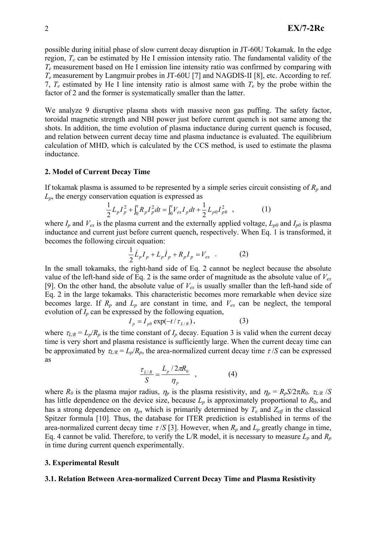possible during initial phase of slow current decay disruption in JT-60U Tokamak. In the edge region, *Te* can be estimated by He I emission intensity ratio. The fundamental validity of the *Te* measurement based on He I emission line intensity ratio was confirmed by comparing with *Te* measurement by Langmuir probes in JT-60U [7] and NAGDIS-II [8], etc. According to ref. 7,  $T_e$  estimated by He I line intensity ratio is almost same with  $T_e$  by the probe within the factor of 2 and the former is systematically smaller than the latter.

We analyze 9 disruptive plasma shots with massive neon gas puffing. The safety factor, toroidal magnetic strength and NBI power just before current quench is not same among the shots. In addition, the time evolution of plasma inductance during current quench is focused, and relation between current decay time and plasma inductance is evaluated. The equilibrium calculation of MHD, which is calculated by the CCS method, is used to estimate the plasma inductance.

# **2. Model of Current Decay Time**

If tokamak plasma is assumed to be represented by a simple series circuit consisting of  $R_p$  and *Lp*, the energy conservation equation is expressed as

$$
\frac{1}{2}L_p I_p^2 + \int_0^t R_p I_p^2 dt = \int_0^t V_{ex} I_p dt + \frac{1}{2} L_{p0} I_{p0}^2 ,\qquad (1)
$$

where  $I_p$  and  $V_{ex}$  is the plasma current and the externally applied voltage,  $L_{p0}$  and  $I_{p0}$  is plasma inductance and current just before current quench, respectively. When Eq. 1 is transformed, it becomes the following circuit equation:

$$
\frac{1}{2}\dot{L}_p I_p + L_p \dot{I}_p + R_p I_p = V_{ex} \quad . \tag{2}
$$

In the small tokamaks, the right-hand side of Eq. 2 cannot be neglect because the absolute value of the left-hand side of Eq. 2 is the same order of magnitude as the absolute value of  $V_{ex}$ [9]. On the other hand, the absolute value of  $V_{ex}$  is usually smaller than the left-hand side of Eq. 2 in the large tokamaks. This characteristic becomes more remarkable when device size becomes large. If  $R_p$  and  $L_p$  are constant in time, and  $V_{ex}$  can be neglect, the temporal evolution of  $I_p$  can be expressed by the following equation,

$$
I_p = I_{p0} \exp(-t/\tau_{L/R}), \tag{3}
$$

where  $\tau_{L/R} = L_p/R_p$  is the time constant of  $I_p$  decay. Equation 3 is valid when the current decay time is very short and plasma resistance is sufficiently large. When the current decay time can be approximated by  $\tau_{L/R} = L_p/R_p$ , the area-normalized current decay time  $\tau/S$  can be expressed as

$$
\frac{\tau_{L/R}}{S} = \frac{L_p / 2\pi R_0}{\eta_p} \quad , \tag{4}
$$

where  $R_0$  is the plasma major radius,  $\eta_p$  is the plasma resistivity, and  $\eta_p = R_p S / 2\pi R_0$ .  $\tau_{L/R}$  /*S* has little dependence on the device size, because  $L_p$  is approximately proportional to  $R_0$ , and has a strong dependence on  $\eta_p$ , which is primarily determined by  $T_e$  and  $Z_{\text{eff}}$  in the classical Spitzer formula [10]. Thus, the database for ITER prediction is established in terms of the area-normalized current decay time  $\tau$  /*S* [3]. However, when  $R_p$  and  $L_p$  greatly change in time, Eq. 4 cannot be valid. Therefore, to verify the L/R model, it is necessary to measure *Lp* and *Rp* in time during current quench experimentally.

### **3. Experimental Result**

#### **3.1. Relation Between Area-normalized Current Decay Time and Plasma Resistivity**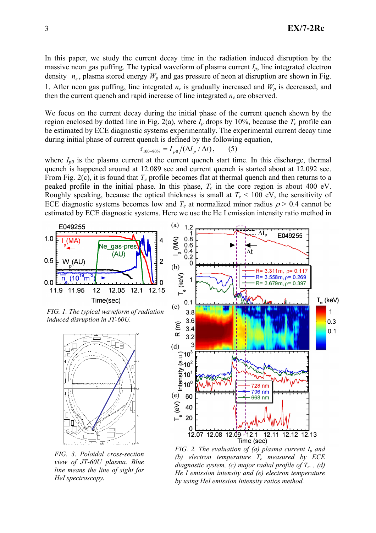In this paper, we study the current decay time in the radiation induced disruption by the massive neon gas puffing. The typical waveform of plasma current  $I_p$ , line integrated electron density  $\bar{n}_e$ , plasma stored energy  $W_p$  and gas pressure of neon at disruption are shown in Fig. 1. After neon gas puffing, line integrated  $n_e$  is gradually increased and  $W_p$  is decreased, and then the current quench and rapid increase of line integrated  $n_e$  are observed.

We focus on the current decay during the initial phase of the current quench shown by the region enclosed by dotted line in Fig. 2(a), where  $I_p$  drops by 10%, because the  $T_e$  profile can be estimated by ECE diagnostic systems experimentally. The experimental current decay time during initial phase of current quench is defined by the following equation,

$$
\tau_{100-90\%} = I_{p0} / (\Delta I_p / \Delta t), \quad (5)
$$

where  $I_{p0}$  is the plasma current at the current quench start time. In this discharge, thermal quench is happened around at 12.089 sec and current quench is started about at 12.092 sec. From Fig. 2(c), it is found that  $T_e$  profile becomes flat at thermal quench and then returns to a peaked profile in the initial phase. In this phase, *Te* in the core region is about 400 eV. Roughly speaking, because the optical thickness is small at  $T_e < 100$  eV, the sensitivity of ECE diagnostic systems becomes low and  $T_e$  at normalized minor radius  $\rho > 0.4$  cannot be estimated by ECE diagnostic systems. Here we use the He I emission intensity ratio method in



*FIG. 3. Poloidal cross-section view of JT-60U plasma. Blue line means the line of sight for HeI spectroscopy.*

*FIG. 2. The evaluation of (a) plasma current*  $I_n$  *and (b) electron temperature Te measured by ECE diagnostic system, (c) major radial profile of Te. , (d) He I emission intensity and (e) electron temperature by using HeI emission Intensity ratios method.*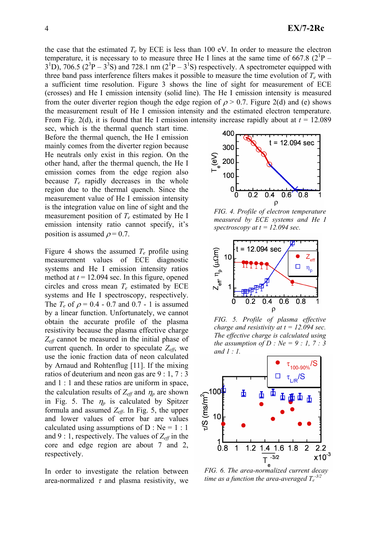the case that the estimated  $T_e$  by ECE is less than 100 eV. In order to measure the electron temperature, it is necessary to to measure three He I lines at the same time of 667.8  $(2^1P 3^{1}D$ , 706.5 ( $2^{3}P - 3^{3}S$ ) and 728.1 nm ( $2^{1}P - 3^{1}S$ ) respectively. A spectrometer equipped with three band pass interference filters makes it possible to measure the time evolution of  $T_e$  with a sufficient time resolution. Figure 3 shows the line of sight for measurement of ECE (crosses) and He I emission intensity (solid line). The He I emission intensity is measured from the outer diverter region though the edge region of  $\rho > 0.7$ . Figure 2(d) and (e) shows the measurement result of He I emission intensity and the estimated electron temperature. From Fig. 2(d), it is found that He I emission intensity increase rapidly about at  $t = 12.089$ 

sec, which is the thermal quench start time. Before the thermal quench, the He I emission mainly comes from the diverter region because He neutrals only exist in this region. On the other hand, after the thermal quench, the He I emission comes from the edge region also because *Te* rapidly decreases in the whole region due to the thermal quench. Since the measurement value of He I emission intensity is the integration value on line of sight and the measurement position of *Te* estimated by He I emission intensity ratio cannot specify, it's position is assumed  $\rho = 0.7$ .

Figure 4 shows the assumed *Te* profile using measurement values of ECE diagnostic systems and He I emission intensity ratios method at  $t = 12.094$  sec. In this figure, opened circles and cross mean  $T_e$  estimated by ECE systems and He I spectroscopy, respectively. The  $T_e$  of  $\rho = 0.4 - 0.7$  and 0.7 - 1 is assumed by a linear function. Unfortunately, we cannot obtain the accurate profile of the plasma resistivity because the plasma effective charge *Zeff* cannot be measured in the initial phase of current quench. In order to speculate  $Z_{\text{eff}}$ , we use the ionic fraction data of neon calculated by Arnaud and Rohtenflug [11]. If the mixing ratios of deuterium and neon gas are 9 : 1, 7 : 3 and 1 : 1 and these ratios are uniform in space, the calculation results of  $Z_{\text{eff}}$  and  $\eta_p$  are shown in Fig. 5. The  $\eta_p$  is calculated by Spitzer formula and assumed *Zeff*. In Fig. 5, the upper and lower values of error bar are values calculated using assumptions of  $D : Ne = 1 : 1$ and 9 : 1, respectively. The values of  $Z_{\text{eff}}$  in the core and edge region are about 7 and 2, respectively.

In order to investigate the relation between area-normalized  $\tau$  and plasma resistivity, we



*FIG. 4. Profile of electron temperature measured by ECE systems and He I spectroscopy at t = 12.094 sec.*



*FIG. 5. Profile of plasma effective charge and resistivity at t = 12.094 sec. The effective charge is calculated using the assumption of D : Ne = 9 : 1, 7 : 3 and 1 : 1.*



*FIG. 6. The area-normalized current decay* time as a function the area-averaged  $T_e^{-3/2}$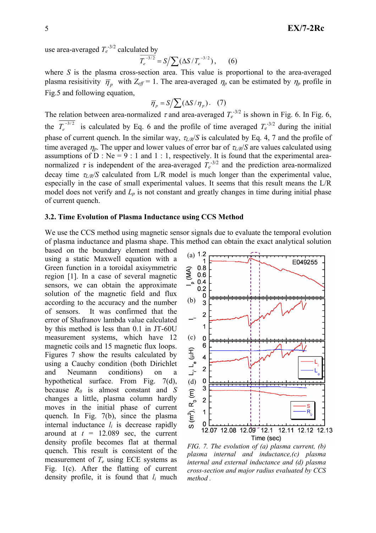use area-averaged  $T_e^{-3/2}$  calculated by

$$
\overline{T_e^{-3/2}} = S / \sum (\Delta S / T_e^{-3/2}), \qquad (6)
$$

where *S* is the plasma cross-section area. This value is proportional to the area-averaged plasma resisitivity  $\overline{\eta}_p$  with  $Z_{\text{eff}} = 1$ . The area-averaged  $\eta_p$  can be estimated by  $\eta_p$  profile in Fig.5 and following equation,

$$
\overline{\eta}_p = S / \sum (\Delta S / \eta_p). \quad (7)
$$

The relation between area-normalized  $\tau$  and area-averaged  $T_e^{-3/2}$  is shown in Fig. 6. In Fig. 6, the  $T_e^{-3/2}$  is calculated by Eq. 6 and the profile of time averaged  $T_e^{-3/2}$  during the initial phase of current quench. In the similar way,  $\tau_{LR}/S$  is calculated by Eq. 4, 7 and the profile of time averaged  $\eta_p$ . The upper and lower values of error bar of  $\tau_l$ /*R*/*S* are values calculated using assumptions of  $\overline{D}$  : Ne = 9 : 1 and 1 : 1, respectively. It is found that the experimental areanormalized  $\tau$  is independent of the area-averaged  $T_e^{3/2}$  and the prediction area-normalized decay time  $\tau_{LR}/S$  calculated from L/R model is much longer than the experimental value, especially in the case of small experimental values. It seems that this result means the L/R model does not verify and  $L_p$  is not constant and greatly changes in time during initial phase of current quench.

#### **3.2. Time Evolution of Plasma Inductance using CCS Method**

We use the CCS method using magnetic sensor signals due to evaluate the temporal evolution of plasma inductance and plasma shape. This method can obtain the exact analytical solution

based on the boundary element method using a static Maxwell equation with a Green function in a toroidal axisymmetric region [1]. In a case of several magnetic sensors, we can obtain the approximate solution of the magnetic field and flux according to the accuracy and the number of sensors. It was confirmed that the error of Shafranov lambda value calculated by this method is less than 0.1 in JT-60U measurement systems, which have 12 magnetic coils and 15 magnetic flux loops. Figures 7 show the results calculated by using a Cauchy condition (both Dirichlet and Neumann conditions) on a hypothetical surface. From Fig. 7(d), because *R0* is almost constant and *S* changes a little, plasma column hardly moves in the initial phase of current quench. In Fig. 7(b), since the plasma internal inductance  $l_i$  is decrease rapidly around at  $t = 12.089$  sec, the current density profile becomes flat at thermal quench. This result is consistent of the measurement of *Te* using ECE systems as Fig. 1(c). After the flatting of current density profile, it is found that *li* much



*FIG. 7. The evolution of (a) plasma current, (b) plasma internal and inductance,(c) plasma internal and external inductance and (d) plasma cross-section and major radius evaluated by CCS method .*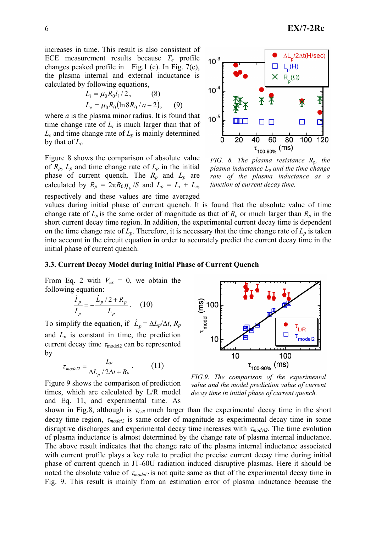increases in time. This result is also consistent of ECE measurement results because *Te* profile changes peaked profile in Fig.1 (c). In Fig. 7(c), the plasma internal and external inductance is calculated by following equations,

$$
L_i = \mu_0 R_0 l_i / 2, \qquad (8)
$$
  

$$
L_e = \mu_0 R_0 (\ln 8 R_0 / a - 2), \qquad (9)
$$

where  $a$  is the plasma minor radius. It is found that time change rate of  $L_i$  is much larger than that of  $L_e$  and time change rate of  $L_p$  is mainly determined by that of *Li*.

Figure 8 shows the comparison of absolute value of  $R_p$ ,  $L_p$  and time change rate of  $L_p$  in the initial phase of current quench. The *Rp* and *Lp* are calculated by  $R_p = 2\pi R_0 \overline{\eta}_p /S$  and  $L_p = L_i + L_e$ , respectively and these values are time averaged



*FIG.* 8. The plasma resistance R<sub>p</sub>, the *plasma inductance L*p *and the time change rate of the plasma inductance as a function of current decay time.*

values during initial phase of current quench. It is found that the absolute value of time change rate of  $L_p$  is the same order of magnitude as that of  $R_p$  or much larger than  $R_p$  in the short current decay time region. In addition, the experimental current decay time is dependent on the time change rate of  $L_p$ . Therefore, it is necessary that the time change rate of  $L_p$  is taken into account in the circuit equation in order to accurately predict the current decay time in the initial phase of current quench.

#### **3.3. Current Decay Model during Initial Phase of Current Quench**

From Eq. 2 with  $V_{ex} = 0$ , we obtain the following equation:

$$
\frac{\dot{I}_p}{I_p} = -\frac{\dot{L}_p/2 + R_p}{L_p}.
$$
 (10)

To simplify the equation, if  $\dot{L}_p = \Delta L_p / \Delta t$ ,  $R_p$ and  $L_p$  is constant in time, the prediction current decay time  $\tau_{\text{model2}}$  can be represented by

$$
\tau_{model2} = \frac{L_p}{\Delta L_p / 2\Delta t + R_p} \,. \tag{11}
$$

Figure 9 shows the comparison of prediction times, which are calculated by L/R model and Eq. 11, and experimental time. As



*FIG.9. The comparison of the experimental value and the model prediction value of current decay time in initial phase of current quench.*

shown in Fig.8, although is  $\tau_{LR}$  much larger than the experimental decay time in the short decay time region, <sup>τ</sup>*model2* is same order of magnitude as experimental decay time in some disruptive discharges and experimental decay time increases with <sup>τ</sup>*model2*. The time evolution of plasma inductance is almost determined by the change rate of plasma internal inductance. The above result indicates that the change rate of the plasma internal inductance associated with current profile plays a key role to predict the precise current decay time during initial phase of current quench in JT-60U radiation induced disruptive plasmas. Here it should be noted the absolute value of  $\tau_{model2}$  is not quite same as that of the experimental decay time in Fig. 9. This result is mainly from an estimation error of plasma inductance because the